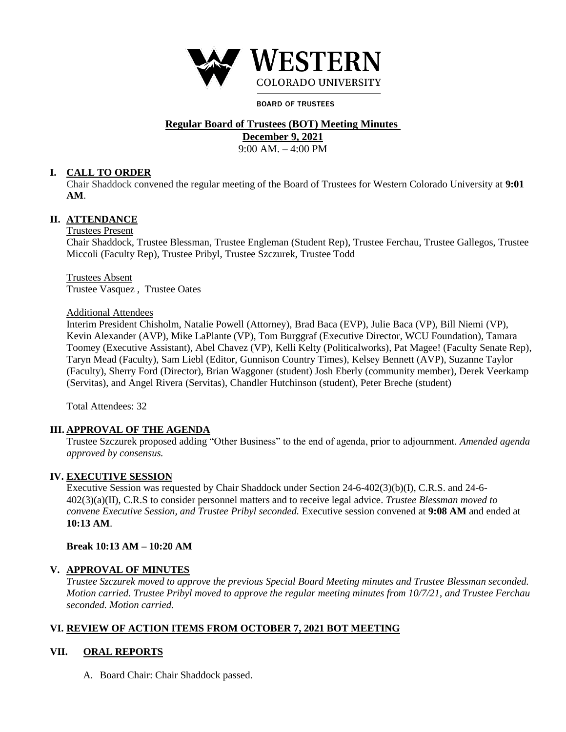

#### **BOARD OF TRUSTEES**

# **Regular Board of Trustees (BOT) Meeting Minutes**

**December 9, 2021**

9:00 AM. – 4:00 PM

## **I. CALL TO ORDER**

Chair Shaddock convened the regular meeting of the Board of Trustees for Western Colorado University at **9:01 AM**.

# **II. ATTENDANCE**

# Trustees Present

Chair Shaddock, Trustee Blessman, Trustee Engleman (Student Rep), Trustee Ferchau, Trustee Gallegos, Trustee Miccoli (Faculty Rep), Trustee Pribyl, Trustee Szczurek, Trustee Todd

Trustees Absent Trustee Vasquez , Trustee Oates

#### Additional Attendees

Interim President Chisholm, Natalie Powell (Attorney), Brad Baca (EVP), Julie Baca (VP), Bill Niemi (VP), Kevin Alexander (AVP), Mike LaPlante (VP), Tom Burggraf (Executive Director, WCU Foundation), Tamara Toomey (Executive Assistant), Abel Chavez (VP), Kelli Kelty (Politicalworks), Pat Magee! (Faculty Senate Rep), Taryn Mead (Faculty), Sam Liebl (Editor, Gunnison Country Times), Kelsey Bennett (AVP), Suzanne Taylor (Faculty), Sherry Ford (Director), Brian Waggoner (student) Josh Eberly (community member), Derek Veerkamp (Servitas), and Angel Rivera (Servitas), Chandler Hutchinson (student), Peter Breche (student)

Total Attendees: 32

## **III. APPROVAL OF THE AGENDA**

Trustee Szczurek proposed adding "Other Business" to the end of agenda, prior to adjournment*. Amended agenda approved by consensus.* 

## **IV. EXECUTIVE SESSION**

Executive Session was requested by Chair Shaddock under Section 24-6-402(3)(b)(I), C.R.S. and 24-6- 402(3)(a)(II), C.R.S to consider personnel matters and to receive legal advice. *Trustee Blessman moved to convene Executive Session, and Trustee Pribyl seconded.* Executive session convened at **9:08 AM** and ended at **10:13 AM**.

## **Break 10:13 AM – 10:20 AM**

## **V. APPROVAL OF MINUTES**

*Trustee Szczurek moved to approve the previous Special Board Meeting minutes and Trustee Blessman seconded. Motion carried. Trustee Pribyl moved to approve the regular meeting minutes from 10/7/21, and Trustee Ferchau seconded. Motion carried.* 

# **VI. REVIEW OF ACTION ITEMS FROM OCTOBER 7, 2021 BOT MEETING**

## **VII. ORAL REPORTS**

A. Board Chair: Chair Shaddock passed.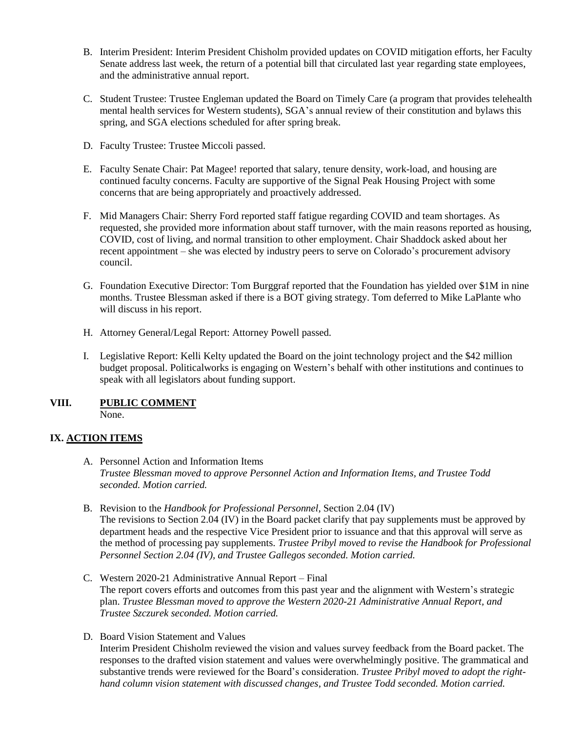- B. Interim President: Interim President Chisholm provided updates on COVID mitigation efforts, her Faculty Senate address last week, the return of a potential bill that circulated last year regarding state employees, and the administrative annual report.
- C. Student Trustee: Trustee Engleman updated the Board on Timely Care (a program that provides telehealth mental health services for Western students), SGA's annual review of their constitution and bylaws this spring, and SGA elections scheduled for after spring break.
- D. Faculty Trustee: Trustee Miccoli passed.
- E. Faculty Senate Chair: Pat Magee! reported that salary, tenure density, work-load, and housing are continued faculty concerns. Faculty are supportive of the Signal Peak Housing Project with some concerns that are being appropriately and proactively addressed.
- F. Mid Managers Chair: Sherry Ford reported staff fatigue regarding COVID and team shortages. As requested, she provided more information about staff turnover, with the main reasons reported as housing, COVID, cost of living, and normal transition to other employment. Chair Shaddock asked about her recent appointment – she was elected by industry peers to serve on Colorado's procurement advisory council.
- G. Foundation Executive Director: Tom Burggraf reported that the Foundation has yielded over \$1M in nine months. Trustee Blessman asked if there is a BOT giving strategy. Tom deferred to Mike LaPlante who will discuss in his report.
- H. Attorney General/Legal Report: Attorney Powell passed.
- I. Legislative Report: Kelli Kelty updated the Board on the joint technology project and the \$42 million budget proposal. Politicalworks is engaging on Western's behalf with other institutions and continues to speak with all legislators about funding support.

#### **VIII. PUBLIC COMMENT** None.

# **IX. ACTION ITEMS**

- A. Personnel Action and Information Items *Trustee Blessman moved to approve Personnel Action and Information Items, and Trustee Todd seconded. Motion carried.*
- B. Revision to the *Handbook for Professional Personnel*, Section 2.04 (IV) The revisions to Section 2.04 (IV) in the Board packet clarify that pay supplements must be approved by department heads and the respective Vice President prior to issuance and that this approval will serve as the method of processing pay supplements. *Trustee Pribyl moved to revise the Handbook for Professional Personnel Section 2.04 (IV), and Trustee Gallegos seconded. Motion carried.*
- C. Western 2020-21 Administrative Annual Report Final The report covers efforts and outcomes from this past year and the alignment with Western's strategic plan. *Trustee Blessman moved to approve the Western 2020-21 Administrative Annual Report, and Trustee Szczurek seconded. Motion carried.*
- D. Board Vision Statement and Values Interim President Chisholm reviewed the vision and values survey feedback from the Board packet. The responses to the drafted vision statement and values were overwhelmingly positive. The grammatical and substantive trends were reviewed for the Board's consideration. *Trustee Pribyl moved to adopt the righthand column vision statement with discussed changes, and Trustee Todd seconded. Motion carried.*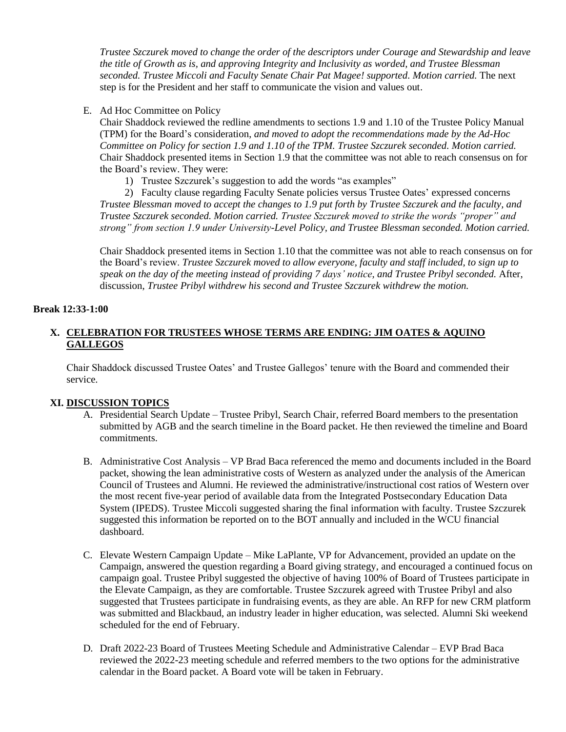*Trustee Szczurek moved to change the order of the descriptors under Courage and Stewardship and leave the title of Growth as is, and approving Integrity and Inclusivity as worded, and Trustee Blessman seconded. Trustee Miccoli and Faculty Senate Chair Pat Magee! supported. Motion carried.* The next step is for the President and her staff to communicate the vision and values out.

E. Ad Hoc Committee on Policy

Chair Shaddock reviewed the redline amendments to sections 1.9 and 1.10 of the Trustee Policy Manual (TPM) for the Board's consideration, *and moved to adopt the recommendations made by the Ad-Hoc Committee on Policy for section 1.9 and 1.10 of the TPM. Trustee Szczurek seconded. Motion carried.*  Chair Shaddock presented items in Section 1.9 that the committee was not able to reach consensus on for the Board's review. They were:

1) Trustee Szczurek's suggestion to add the words "as examples"

2) Faculty clause regarding Faculty Senate policies versus Trustee Oates' expressed concerns *Trustee Blessman moved to accept the changes to 1.9 put forth by Trustee Szczurek and the faculty, and Trustee Szczurek seconded. Motion carried. Trustee Szczurek moved to strike the words "proper" and strong" from section 1.9 under University-Level Policy, and Trustee Blessman seconded. Motion carried.* 

Chair Shaddock presented items in Section 1.10 that the committee was not able to reach consensus on for the Board's review. *Trustee Szczurek moved to allow everyone, faculty and staff included, to sign up to speak on the day of the meeting instead of providing 7 days' notice, and Trustee Pribyl seconded.* After, discussion, *Trustee Pribyl withdrew his second and Trustee Szczurek withdrew the motion.*

## **Break 12:33-1:00**

## **X. CELEBRATION FOR TRUSTEES WHOSE TERMS ARE ENDING: JIM OATES & AQUINO GALLEGOS**

Chair Shaddock discussed Trustee Oates' and Trustee Gallegos' tenure with the Board and commended their service.

# **XI. DISCUSSION TOPICS**

- A. Presidential Search Update Trustee Pribyl, Search Chair, referred Board members to the presentation submitted by AGB and the search timeline in the Board packet. He then reviewed the timeline and Board commitments.
- B. Administrative Cost Analysis VP Brad Baca referenced the memo and documents included in the Board packet, showing the lean administrative costs of Western as analyzed under the analysis of the American Council of Trustees and Alumni. He reviewed the administrative/instructional cost ratios of Western over the most recent five-year period of available data from the Integrated Postsecondary Education Data System (IPEDS). Trustee Miccoli suggested sharing the final information with faculty. Trustee Szczurek suggested this information be reported on to the BOT annually and included in the WCU financial dashboard.
- C. Elevate Western Campaign Update Mike LaPlante, VP for Advancement, provided an update on the Campaign, answered the question regarding a Board giving strategy, and encouraged a continued focus on campaign goal. Trustee Pribyl suggested the objective of having 100% of Board of Trustees participate in the Elevate Campaign, as they are comfortable. Trustee Szczurek agreed with Trustee Pribyl and also suggested that Trustees participate in fundraising events, as they are able. An RFP for new CRM platform was submitted and Blackbaud, an industry leader in higher education, was selected. Alumni Ski weekend scheduled for the end of February.
- D. Draft 2022-23 Board of Trustees Meeting Schedule and Administrative Calendar EVP Brad Baca reviewed the 2022-23 meeting schedule and referred members to the two options for the administrative calendar in the Board packet. A Board vote will be taken in February.